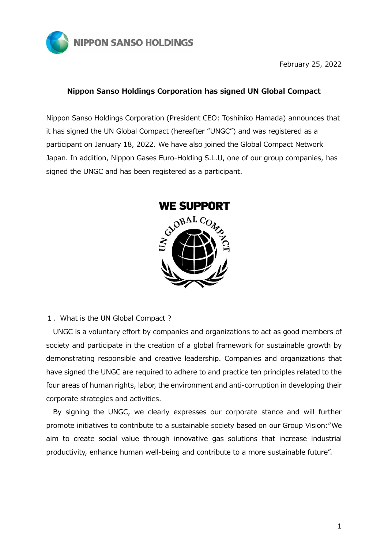

February 25, 2022

## **Nippon Sanso Holdings Corporation has signed UN Global Compact**

Nippon Sanso Holdings Corporation (President CEO: Toshihiko Hamada) announces that it has signed the UN Global Compact (hereafter "UNGC") and was registered as a participant on January 18, 2022. We have also joined the Global Compact Network Japan. In addition, Nippon Gases Euro-Holding S.L.U, one of our group companies, has signed the UNGC and has been registered as a participant.



## 1.What is the UN Global Compact ?

UNGC is a voluntary effort by companies and organizations to act as good members of society and participate in the creation of a global framework for sustainable growth by demonstrating responsible and creative leadership. Companies and organizations that have signed the UNGC are required to adhere to and practice ten principles related to the four areas of human rights, labor, the environment and anti-corruption in developing their corporate strategies and activities.

By signing the UNGC, we clearly expresses our corporate stance and will further promote initiatives to contribute to a sustainable society based on our Group Vision:"We aim to create social value through innovative gas solutions that increase industrial productivity, enhance human well-being and contribute to a more sustainable future".